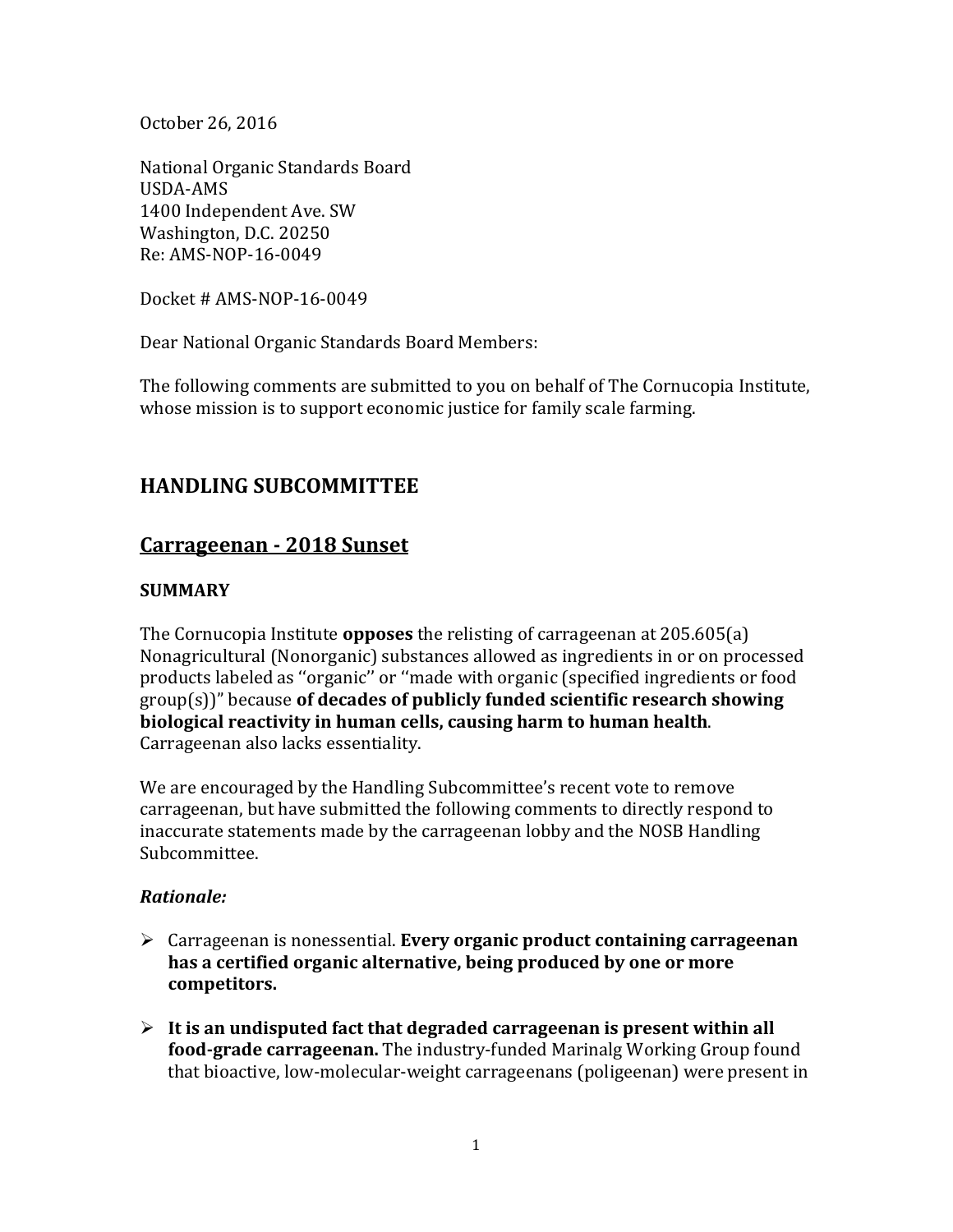October 26, 2016

National Organic Standards Board USDA-AMS 1400 Independent Ave. SW Washington, D.C. 20250 Re: AMS-NOP-16-0049

Docket # AMS-NOP-16-0049

Dear National Organic Standards Board Members:

The following comments are submitted to you on behalf of The Cornucopia Institute, whose mission is to support economic justice for family scale farming.

# **HANDLING SUBCOMMITTEE**

## **Carrageenan - 2018 Sunset**

#### **SUMMARY**

The Cornucopia Institute **opposes** the relisting of carrageenan at 205.605(a) Nonagricultural (Nonorganic) substances allowed as ingredients in or on processed products labeled as ''organic'' or ''made with organic (specified ingredients or food group(s))" because **of decades of publicly funded scientific research showing biological reactivity in human cells, causing harm to human health**. Carrageenan also lacks essentiality.

We are encouraged by the Handling Subcommittee's recent vote to remove carrageenan, but have submitted the following comments to directly respond to inaccurate statements made by the carrageenan lobby and the NOSB Handling Subcommittee.

#### *Rationale:*

- Carrageenan is nonessential. **Every organic product containing carrageenan has a certified organic alternative, being produced by one or more competitors.**
- **It is an undisputed fact that degraded carrageenan is present within all food-grade carrageenan.** The industry-funded Marinalg Working Group found that bioactive, low-molecular-weight carrageenans (poligeenan) were present in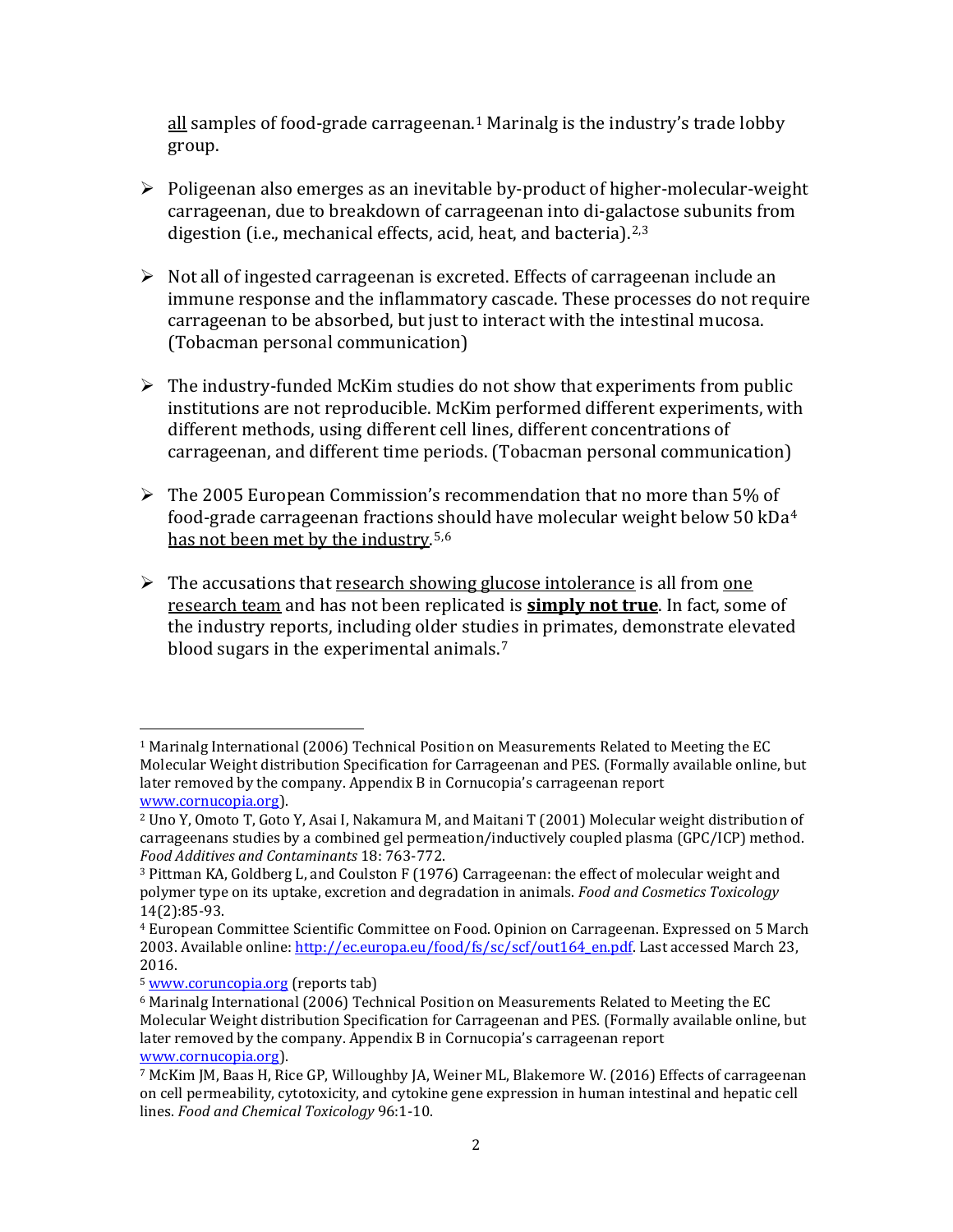all samples of food-grade carrageenan. [1](#page-1-0) Marinalg is the industry's trade lobby group.

- $\triangleright$  Poligeenan also emerges as an inevitable by-product of higher-molecular-weight carrageenan, due to breakdown of carrageenan into di-galactose subunits from digestion (i.e., mechanical effects, acid, heat, and bacteria). $2,3$  $2,3$
- $\triangleright$  Not all of ingested carrageenan is excreted. Effects of carrageenan include an immune response and the inflammatory cascade. These processes do not require carrageenan to be absorbed, but just to interact with the intestinal mucosa. (Tobacman personal communication)
- $\triangleright$  The industry-funded McKim studies do not show that experiments from public institutions are not reproducible. McKim performed different experiments, with different methods, using different cell lines, different concentrations of carrageenan, and different time periods. (Tobacman personal communication)
- $\triangleright$  The 2005 European Commission's recommendation that no more than 5% of food-grade carrageenan fractions should have molecular weight below 50 kDa[4](#page-1-3) has not been met by the industry.<sup>[5,](#page-1-4)[6](#page-1-5)</sup>
- $\triangleright$  The accusations that research showing glucose intolerance is all from one research team and has not been replicated is **simply not true**. In fact, some of the industry reports, including older stud[ie](#page-1-6)s in primates, demonstrate elevated blood sugars in the experimental animals.<sup>7</sup>

<span id="page-1-0"></span> <sup>1</sup> Marinalg International (2006) Technical Position on Measurements Related to Meeting the EC Molecular Weight distribution Specification for Carrageenan and PES. (Formally available online, but later removed by the company. Appendix B in Cornucopia's carrageenan report www.cornucopia.org).

<span id="page-1-1"></span><sup>&</sup>lt;sup>2</sup> Uno Y, Omoto T, Goto Y, Asai I, Nakamura M, and Maitani T (2001) Molecular weight distribution of carrageenans studies by a combined gel permeation/inductively coupled plasma (GPC/ICP) method. *Food Additives and Contaminants* 18: 763-772.

<span id="page-1-2"></span><sup>3</sup> Pittman KA, Goldberg L, and Coulston F (1976) Carrageenan: the effect of molecular weight and polymer type on its uptake, excretion and degradation in animals. *Food and Cosmetics Toxicology* 14(2):85-93.

<span id="page-1-3"></span><sup>4</sup> European Committee Scientific Committee on Food. Opinion on Carrageenan. Expressed on 5 March 2003. Available online: [http://ec.europa.eu/food/fs/sc/scf/out164\\_en.pdf.](http://ec.europa.eu/food/fs/sc/scf/out164_en.pdf) Last accessed March 23, 2016.

<sup>&</sup>lt;sup>5</sup> [www.coruncopia.org](http://www.coruncopia.org/) (reports tab)

<span id="page-1-5"></span><span id="page-1-4"></span><sup>6</sup> Marinalg International (2006) Technical Position on Measurements Related to Meeting the EC Molecular Weight distribution Specification for Carrageenan and PES. (Formally available online, but later removed by the company. Appendix B in Cornucopia's carrageenan report [www.cornucopia.org\)](http://www.cornucopia.org/).

<span id="page-1-6"></span><sup>7</sup> McKim JM, Baas H, Rice GP, Willoughby JA, Weiner ML, Blakemore W. (2016) Effects of carrageenan on cell permeability, cytotoxicity, and cytokine gene expression in human intestinal and hepatic cell lines. *Food and Chemical Toxicology* 96:1-10.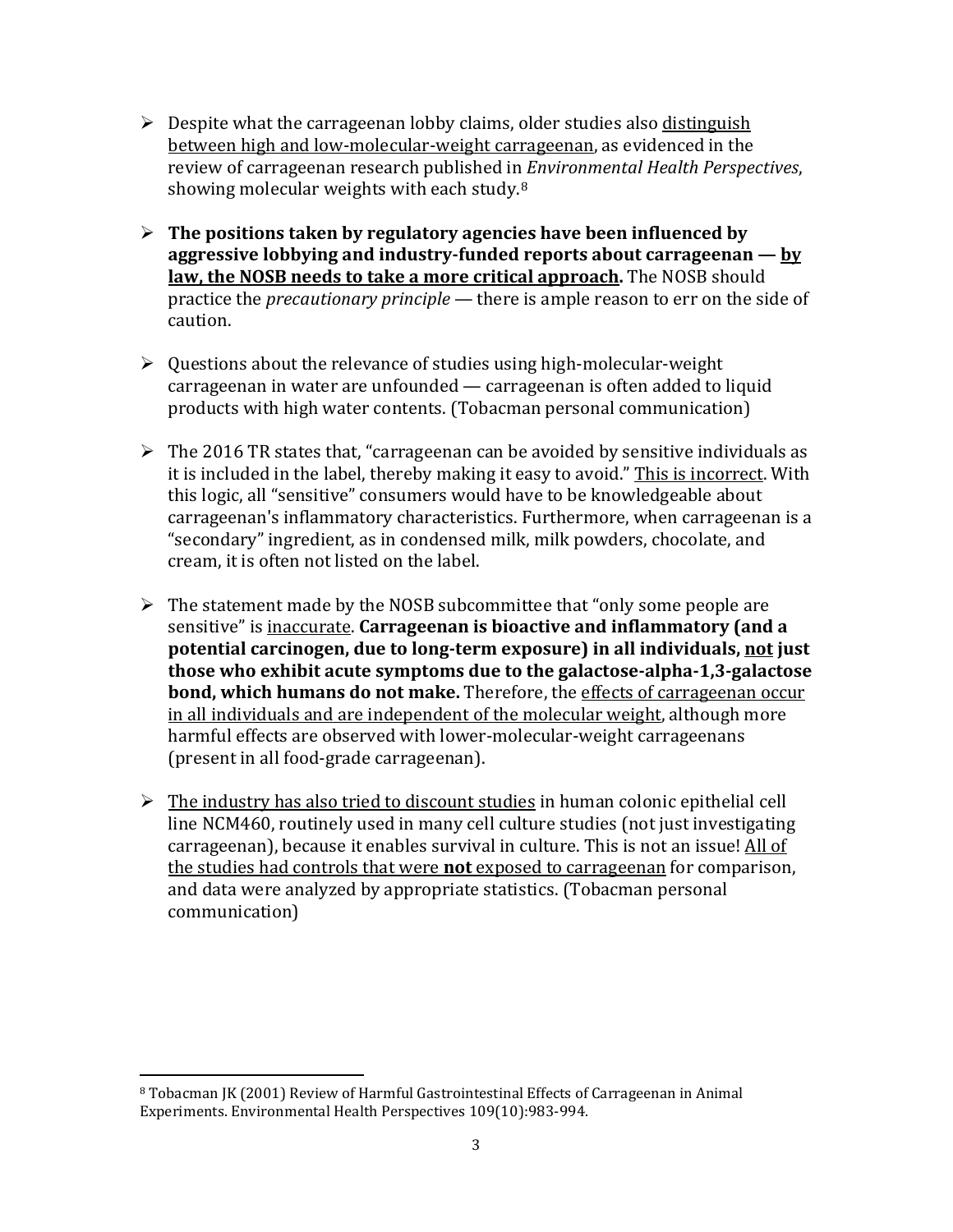- $\triangleright$  Despite what the carrageenan lobby claims, older studies also distinguish between high and low-molecular-weight carrageenan, as evidenced in the review of carrageenan research published in *Environmental Health Perspectives*, showing molecular weights with each study.<sup>[8](#page-2-0)</sup>
- **The positions taken by regulatory agencies have been influenced by aggressive lobbying and industry-funded reports about carrageenan — by law, the NOSB needs to take a more critical approach.** The NOSB should practice the *precautionary principle* — there is ample reason to err on the side of caution.
- $\triangleright$  Ouestions about the relevance of studies using high-molecular-weight carrageenan in water are unfounded — carrageenan is often added to liquid products with high water contents. (Tobacman personal communication)
- $\triangleright$  The 2016 TR states that, "carrageenan can be avoided by sensitive individuals as it is included in the label, thereby making it easy to avoid." This is incorrect. With this logic, all "sensitive" consumers would have to be knowledgeable about carrageenan's inflammatory characteristics. Furthermore, when carrageenan is a "secondary" ingredient, as in condensed milk, milk powders, chocolate, and cream, it is often not listed on the label.
- $\triangleright$  The statement made by the NOSB subcommittee that "only some people are sensitive" is inaccurate. **Carrageenan is bioactive and inflammatory (and a potential carcinogen, due to long-term exposure) in all individuals, not just those who exhibit acute symptoms due to the galactose-alpha-1,3-galactose bond, which humans do not make.** Therefore, the effects of carrageenan occur in all individuals and are independent of the molecular weight, although more harmful effects are observed with lower-molecular-weight carrageenans (present in all food-grade carrageenan).
- $\triangleright$  The industry has also tried to discount studies in human colonic epithelial cell line NCM460, routinely used in many cell culture studies (not just investigating carrageenan), because it enables survival in culture. This is not an issue! All of the studies had controls that were **not** exposed to carrageenan for comparison, and data were analyzed by appropriate statistics. (Tobacman personal communication)

<span id="page-2-0"></span> <sup>8</sup> Tobacman JK (2001) Review of Harmful Gastrointestinal Effects of Carrageenan in Animal Experiments. Environmental Health Perspectives 109(10):983-994.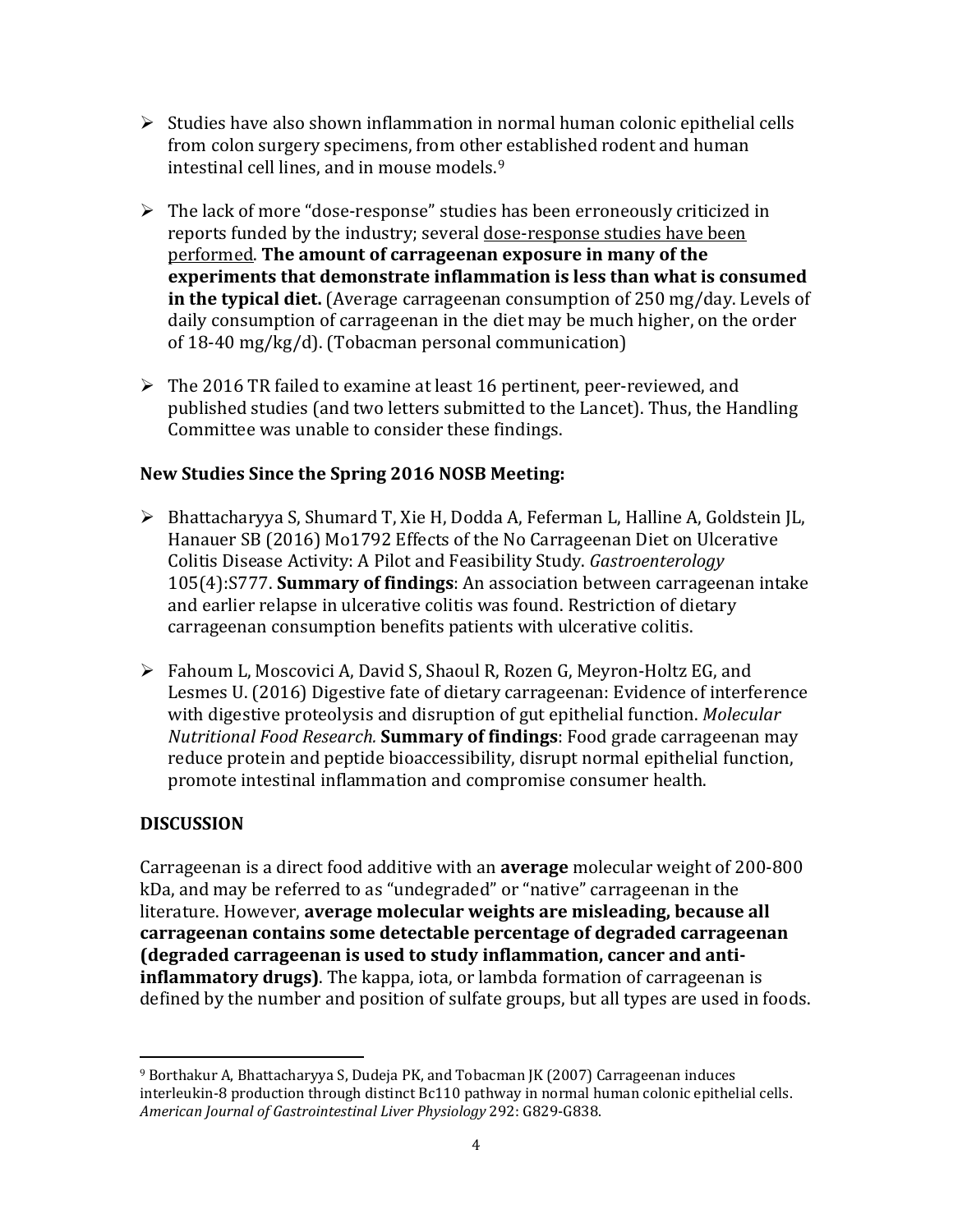- $\triangleright$  Studies have also shown inflammation in normal human colonic epithelial cells from colon surgery specimens, from other established rodent and human intestinal cell lines, and in mouse models.[9](#page-3-0)
- $\triangleright$  The lack of more "dose-response" studies has been erroneously criticized in reports funded by the industry; several dose-response studies have been performed. **The amount of carrageenan exposure in many of the experiments that demonstrate inflammation is less than what is consumed in the typical diet.** (Average carrageenan consumption of 250 mg/day. Levels of daily consumption of carrageenan in the diet may be much higher, on the order of 18-40 mg/kg/d). (Tobacman personal communication)
- $\triangleright$  The 2016 TR failed to examine at least 16 pertinent, peer-reviewed, and published studies (and two letters submitted to the Lancet). Thus, the Handling Committee was unable to consider these findings.

### **New Studies Since the Spring 2016 NOSB Meeting:**

- Bhattacharyya S, Shumard T, Xie H, Dodda A, Feferman L, Halline A, Goldstein JL, Hanauer SB (2016) Mo1792 Effects of the No Carrageenan Diet on Ulcerative Colitis Disease Activity: A Pilot and Feasibility Study. *Gastroenterology* 105(4):S777. **Summary of findings**: An association between carrageenan intake and earlier relapse in ulcerative colitis was found. Restriction of dietary carrageenan consumption benefits patients with ulcerative colitis.
- Fahoum L, Moscovici A, David S, Shaoul R, Rozen G, Meyron-Holtz EG, and Lesmes U. (2016) Digestive fate of dietary carrageenan: Evidence of interference with digestive proteolysis and disruption of gut epithelial function. *Molecular Nutritional Food Research.* **Summary of findings**: Food grade carrageenan may reduce protein and peptide bioaccessibility, disrupt normal epithelial function, promote intestinal inflammation and compromise consumer health.

### **DISCUSSION**

Carrageenan is a direct food additive with an **average** molecular weight of 200-800 kDa, and may be referred to as "undegraded" or "native" carrageenan in the literature. However, **average molecular weights are misleading, because all carrageenan contains some detectable percentage of degraded carrageenan (degraded carrageenan is used to study inflammation, cancer and antiinflammatory drugs)**. The kappa, iota, or lambda formation of carrageenan is defined by the number and position of sulfate groups, but all types are used in foods.

<span id="page-3-0"></span> <sup>9</sup> Borthakur A, Bhattacharyya S, Dudeja PK, and Tobacman JK (2007) Carrageenan induces interleukin-8 production through distinct Bc110 pathway in normal human colonic epithelial cells. *American Journal of Gastrointestinal Liver Physiology* 292: G829-G838.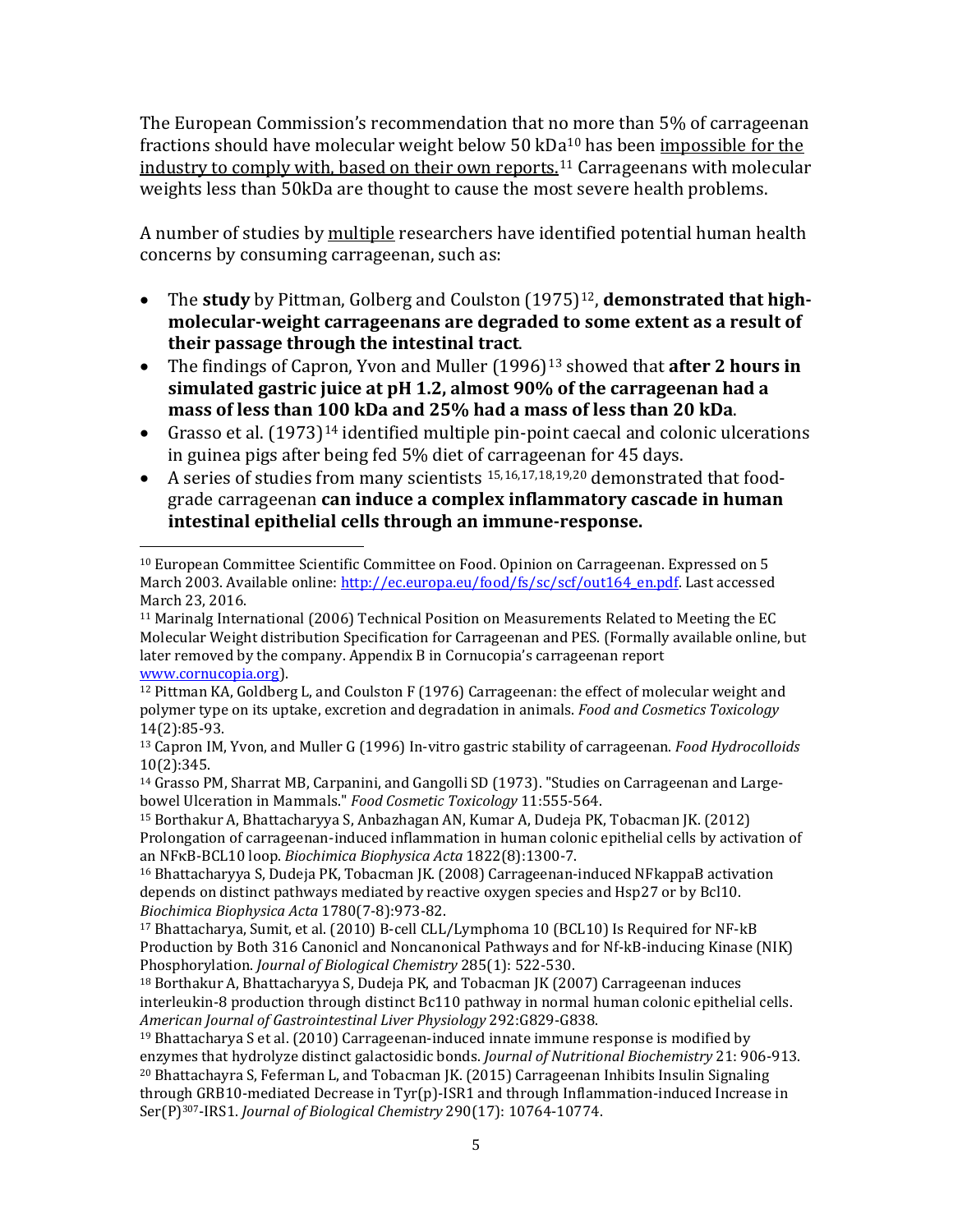The European Commission's recommendation that no more than 5% of carrageenan fractions should have molecular weight below 50 kD[a](#page-4-1)[10](#page-4-0) has been impossible for the industry to comply with, based on their own reports. <sup>11</sup> Carrageenans with molecular weights less than 50kDa are thought to cause the most severe health problems.

A number of studies by multiple researchers have identified potential human health concerns by consuming carrageenan, such as:

- The study by Pittman, Golberg and Coulston (1975)<sup>[12](#page-4-2)</sup>, demonstrated that high**molecular-weight carrageenans are degraded to some extent as a result of their passage through the intestinal tract**.
- The findings of Capron, Yvon and Muller (1996)<sup>[13](#page-4-3)</sup> showed that **after 2 hours in simulated gastric juice at pH 1.2, almost 90% of the carrageenan had a mass of less than 100 kDa and 25% had a mass of less than 20 kDa**.
- Grasso et al.  $(1973)^{14}$  $(1973)^{14}$  $(1973)^{14}$  identified multiple pin-point caecal and colonic ulcerations in guinea pigs after being fed 5% diet of carrageenan for 45 days.
- A series of studies from many scientists [15](#page-4-5),[16](#page-4-6),[17](#page-4-7),[18](#page-4-8),[19](#page-4-9),[20](#page-4-10) demonstrated that foodgrade carrageenan **can induce a complex inflammatory cascade in human intestinal epithelial cells through an immune-response.**

<span id="page-4-0"></span> <sup>10</sup> European Committee Scientific Committee on Food. Opinion on Carrageenan. Expressed on 5 March 2003. Available online: [http://ec.europa.eu/food/fs/sc/scf/out164\\_en.pdf.](http://ec.europa.eu/food/fs/sc/scf/out164_en.pdf) Last accessed March 23, 2016.

<span id="page-4-1"></span><sup>11</sup> Marinalg International (2006) Technical Position on Measurements Related to Meeting the EC Molecular Weight distribution Specification for Carrageenan and PES. (Formally available online, but later removed by the company. Appendix B in Cornucopia's carrageenan report [www.cornucopia.org\)](http://www.cornucopia.org/).

<span id="page-4-2"></span> $12$  Pittman KA, Goldberg L, and Coulston F (1976) Carrageenan: the effect of molecular weight and polymer type on its uptake, excretion and degradation in animals. *Food and Cosmetics Toxicology* 14(2):85-93.

<span id="page-4-3"></span><sup>13</sup> Capron IM, Yvon, and Muller G (1996) In-vitro gastric stability of carrageenan. *Food Hydrocolloids* 10(2):345.

<span id="page-4-4"></span><sup>14</sup> Grasso PM, Sharrat MB, Carpanini, and Gangolli SD (1973). "Studies on Carrageenan and Largebowel Ulceration in Mammals." *Food Cosmetic Toxicology* 11:555-564.

<span id="page-4-5"></span><sup>15</sup> Borthakur A, Bhattacharyya S, Anbazhagan AN, Kumar A, Dudeja PK, Tobacman JK. (2012) [Prolongation of carrageenan-induced inflammation in human colonic epithelial cells](http://www.ncbi.nlm.nih.gov/pubmed/22579587) by activation of an NFKB-BCL10 loop. *Biochimica Biophysica Acta* 1822(8):1300-7.

<span id="page-4-6"></span><sup>&</sup>lt;sup>16</sup> Bhattacharyya S, Dudeja PK, Tobacman JK. (2008) Carrageenan-induced NFkappaB activation [depends on distinct pathways mediated by reactive oxygen species and Hsp27 or by Bcl10.](http://www.ncbi.nlm.nih.gov/pubmed/18452717)<br>Biochimica Biophysica Acta 1780(7-8):973-82.

<span id="page-4-7"></span><sup>&</sup>lt;sup>17</sup> Bhattacharya, Sumit, et al. (2010) B-cell CLL/Lymphoma 10 (BCL10) Is Required for NF-kB Production by Both 316 Canonicl and Noncanonical Pathways and for Nf-kB-inducing Kinase (NIK) Phosphorylation. *Journal of Biological Chemistry* 285(1): 522-530.

<span id="page-4-8"></span><sup>&</sup>lt;sup>18</sup> Borthakur A, Bhattacharyya S, Dudeja PK, and Tobacman JK (2007) Carrageenan induces interleukin-8 production through distinct Bc110 pathway in normal human colonic epithelial cells. *American Journal of Gastrointestinal Liver Physiology* 292:G829-G838.

<span id="page-4-10"></span><span id="page-4-9"></span> $19$  Bhattacharya S et al. (2010) Carrageenan-induced innate immune response is modified by enzymes that hydrolyze distinct galactosidic bonds. *Journal of Nutritional Biochemistry* 21: 906-913.  $20$  Bhattachayra S, Feferman L, and Tobacman JK. (2015) Carrageenan Inhibits Insulin Signaling through GRB10-mediated Decrease in Tyr(p)-ISR1 and through Inflammation-induced Increase in Ser(P)307-IRS1. *Journal of Biological Chemistry* 290(17): 10764-10774.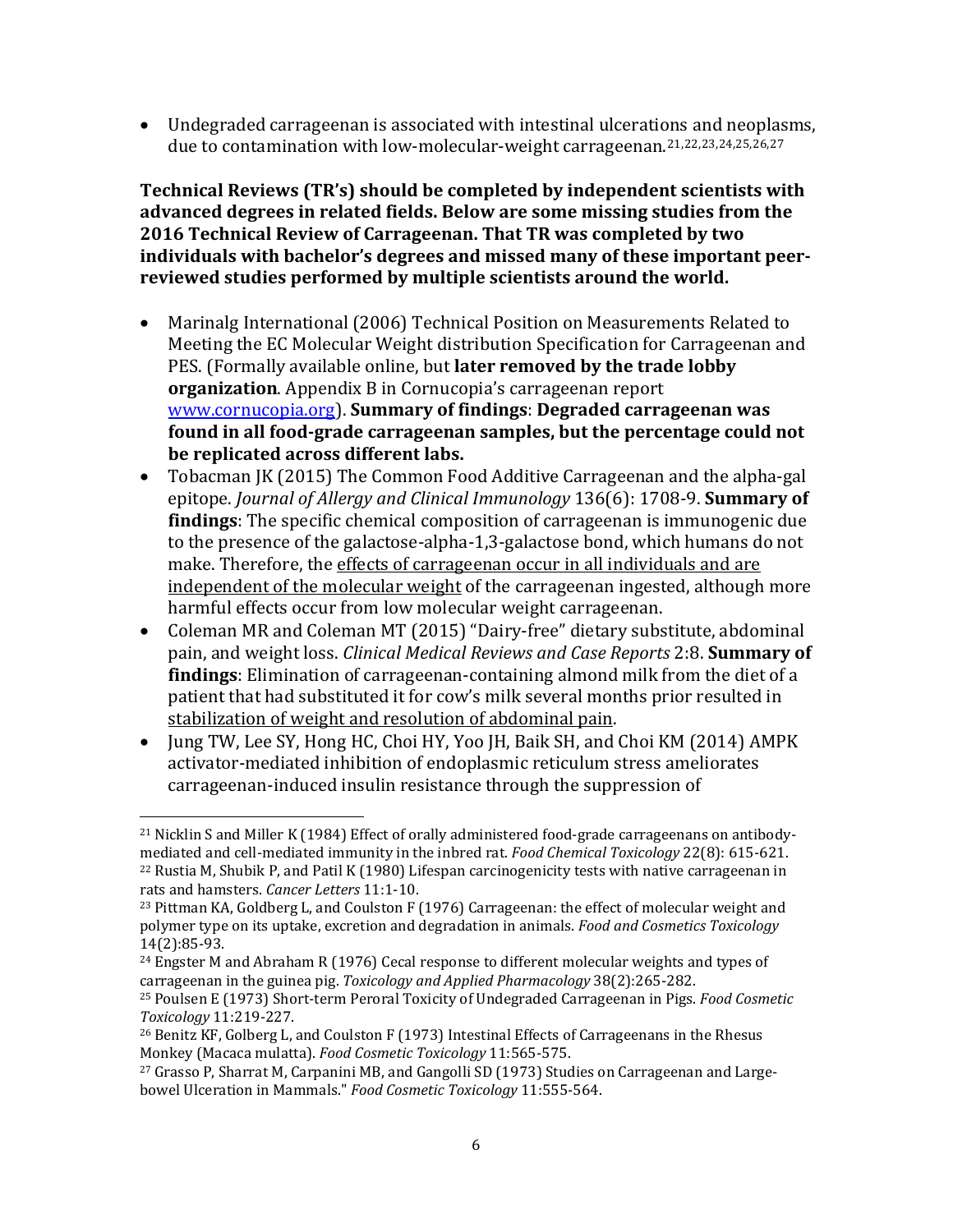• Undegraded carrageenan is associated with intestinal ulcerations and neoplasms, due to contamination with low-molecular-weight carrageenan.[21,](#page-5-0)[22,](#page-5-1)[23,](#page-5-2)[24,](#page-5-3)[25,](#page-5-4)[26,](#page-5-5)[27](#page-5-6)

**Technical Reviews (TR's) should be completed by independent scientists with advanced degrees in related fields. Below are some missing studies from the 2016 Technical Review of Carrageenan. That TR was completed by two individuals with bachelor's degrees and missed many of these important peerreviewed studies performed by multiple scientists around the world.**

- Marinalg International (2006) Technical Position on Measurements Related to Meeting the EC Molecular Weight distribution Specification for Carrageenan and PES. (Formally available online, but **later removed by the trade lobby organization**. Appendix B in Cornucopia's carrageenan report [www.cornucopia.org\)](http://www.cornucopia.org/). **Summary of findings**: **Degraded carrageenan was found in all food-grade carrageenan samples, but the percentage could not be replicated across different labs.**
- Tobacman JK (2015) The Common Food Additive Carrageenan and the alpha-gal epitope. *Journal of Allergy and Clinical Immunology* 136(6): 1708-9. **Summary of findings**: The specific chemical composition of carrageenan is immunogenic due to the presence of the galactose-alpha-1,3-galactose bond, which humans do not make. Therefore, the effects of carrageenan occur in all individuals and are independent of the molecular weight of the carrageenan ingested, although more harmful effects occur from low molecular weight carrageenan.
- Coleman MR and Coleman MT (2015) "Dairy-free" dietary substitute, abdominal pain, and weight loss. *Clinical Medical Reviews and Case Reports* 2:8. **Summary of findings**: Elimination of carrageenan-containing almond milk from the diet of a patient that had substituted it for cow's milk several months prior resulted in stabilization of weight and resolution of abdominal pain.
- Jung TW, Lee SY, Hong HC, Choi HY, Yoo JH, Baik SH, and Choi KM (2014) AMPK activator-mediated inhibition of endoplasmic reticulum stress ameliorates carrageenan-induced insulin resistance through the suppression of

<span id="page-5-1"></span><span id="page-5-0"></span><sup>&</sup>lt;sup>21</sup> Nicklin S and Miller K (1984) Effect of orally administered food-grade carrageenans on antibodymediated and cell-mediated immunity in the inbred rat. *Food Chemical Toxicology* 22(8): 615-621.  $^{22}$  Rustia M, Shubik P, and Patil K (1980) Lifespan carcinogenicity tests with native carrageenan in rats and hamsters. *Cancer Letters* 11:1-10.

<span id="page-5-2"></span> $23$  Pittman KA, Goldberg L, and Coulston F (1976) Carrageenan: the effect of molecular weight and polymer type on its uptake, excretion and degradation in animals. *Food and Cosmetics Toxicology* 14(2):85-93.

<span id="page-5-3"></span> $^{24}$  Engster M and Abraham R (1976) Cecal response to different molecular weights and types of carrageenan in the guinea pig. *Toxicology and Applied Pharmacology* 38(2):265-282.

<span id="page-5-4"></span><sup>25</sup> Poulsen E (1973) Short-term Peroral Toxicity of Undegraded Carrageenan in Pigs. *Food Cosmetic Toxicology* 11:219-227.

<span id="page-5-5"></span><sup>26</sup> Benitz KF, Golberg L, and Coulston F (1973) Intestinal Effects of Carrageenans in the Rhesus Monkey (Macaca mulatta). *Food Cosmetic Toxicology* 11:565-575.

<span id="page-5-6"></span><sup>27</sup> Grasso P, Sharrat M, Carpanini MB, and Gangolli SD (1973) Studies on Carrageenan and Largebowel Ulceration in Mammals." *Food Cosmetic Toxicology* 11:555-564.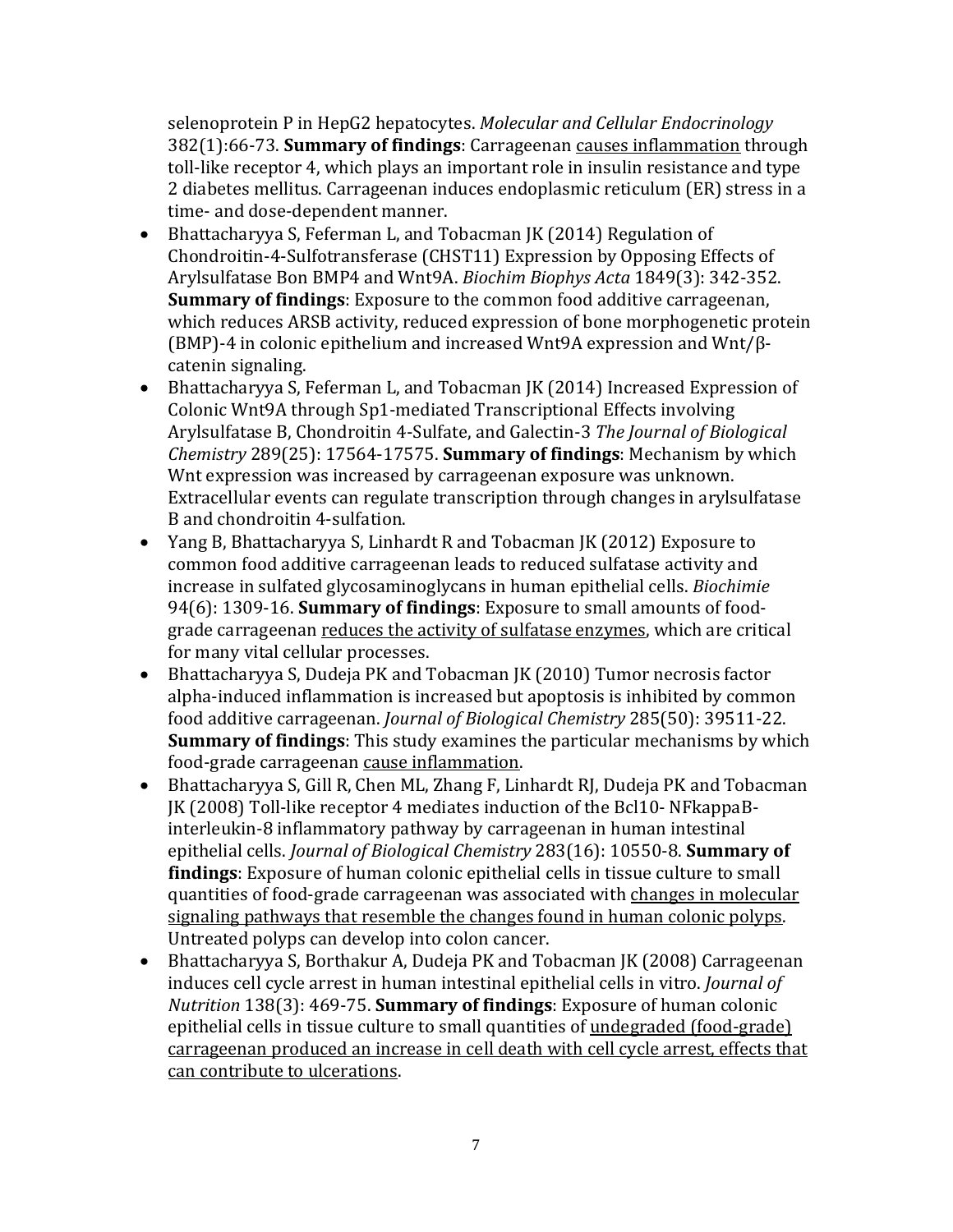selenoprotein P in HepG2 hepatocytes. *Molecular and Cellular Endocrinology*  382(1):66-73. **Summary of findings**: Carrageenan causes inflammation through toll-like receptor 4, which plays an important role in insulin resistance and type 2 diabetes mellitus. Carrageenan induces endoplasmic reticulum (ER) stress in a time- and dose-dependent manner.

- Bhattacharyya S, Feferman L, and Tobacman JK (2014) Regulation of Chondroitin-4-Sulfotransferase (CHST11) Expression by Opposing Effects of Arylsulfatase Bon BMP4 and Wnt9A. *Biochim Biophys Acta* 1849(3): 342-352. **Summary of findings**: Exposure to the common food additive carrageenan, which reduces ARSB activity, reduced expression of bone morphogenetic protein (BMP)-4 in colonic epithelium and increased Wnt9A expression and Wnt/βcatenin signaling.
- Bhattacharyya S, Feferman L, and Tobacman JK (2014) Increased Expression of Colonic Wnt9A through Sp1-mediated Transcriptional Effects involving Arylsulfatase B, Chondroitin 4-Sulfate, and Galectin-3 *The Journal of Biological Chemistry* 289(25): 17564-17575. **Summary of findings**: Mechanism by which Wnt expression was increased by carrageenan exposure was unknown. Extracellular events can regulate transcription through changes in arylsulfatase B and chondroitin 4-sulfation.
- Yang B, Bhattacharyya S, Linhardt R and Tobacman JK (2012) Exposure to common food additive carrageenan leads to reduced sulfatase activity and increase in sulfated glycosaminoglycans in human epithelial cells. *Biochimie*  94(6): 1309-16. **Summary of findings**: Exposure to small amounts of foodgrade carrageenan reduces the activity of sulfatase enzymes, which are critical for many vital cellular processes.
- Bhattacharyya S, Dudeja PK and Tobacman JK (2010) Tumor necrosis factor alpha-induced inflammation is increased but apoptosis is inhibited by common food additive carrageenan. *Journal of Biological Chemistry* 285(50): 39511-22. **Summary of findings**: This study examines the particular mechanisms by which food-grade carrageenan cause inflammation.
- Bhattacharyya S, Gill R, Chen ML, Zhang F, Linhardt RJ, Dudeja PK and Tobacman JK (2008) Toll-like receptor 4 mediates induction of the Bcl10- NFkappaBinterleukin-8 inflammatory pathway by carrageenan in human intestinal epithelial cells. *Journal of Biological Chemistry* 283(16): 10550-8. **Summary of findings**: Exposure of human colonic epithelial cells in tissue culture to small quantities of food-grade carrageenan was associated with changes in molecular signaling pathways that resemble the changes found in human colonic polyps. Untreated polyps can develop into colon cancer.
- Bhattacharyya S, Borthakur A, Dudeja PK and Tobacman JK (2008) Carrageenan induces cell cycle arrest in human intestinal epithelial cells in vitro. *Journal of Nutrition* 138(3): 469-75. **Summary of findings**: Exposure of human colonic epithelial cells in tissue culture to small quantities of undegraded (food-grade) carrageenan produced an increase in cell death with cell cycle arrest, effects that can contribute to ulcerations.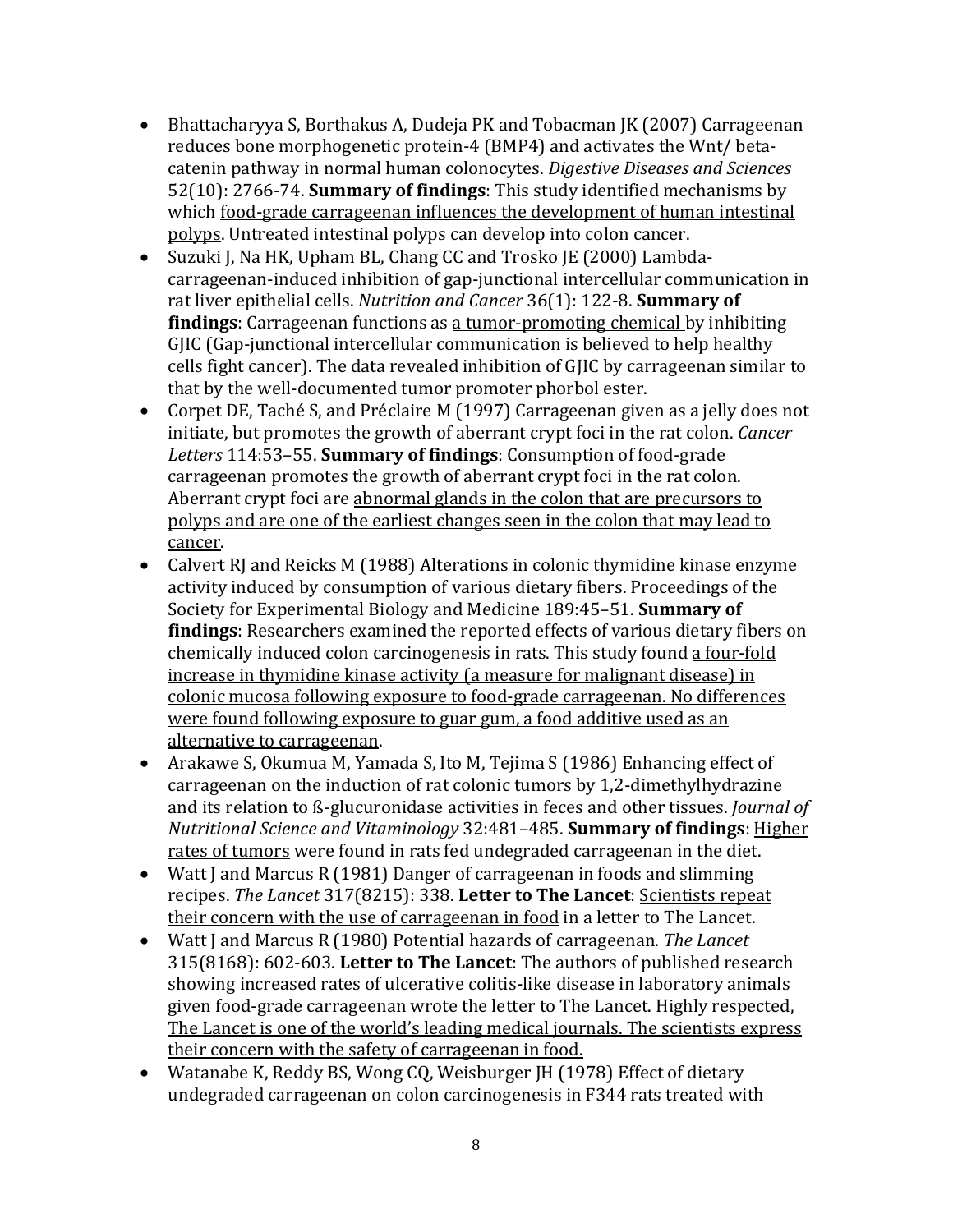- Bhattacharyya S, Borthakus A, Dudeja PK and Tobacman JK (2007) Carrageenan reduces bone morphogenetic protein-4 (BMP4) and activates the Wnt/ betacatenin pathway in normal human colonocytes. *Digestive Diseases and Sciences*  52(10): 2766-74. **Summary of findings**: This study identified mechanisms by which food-grade carrageenan influences the development of human intestinal polyps. Untreated intestinal polyps can develop into colon cancer.
- Suzuki J, Na HK, Upham BL, Chang CC and Trosko JE (2000) Lambdacarrageenan-induced inhibition of gap-junctional intercellular communication in rat liver epithelial cells. *Nutrition and Cancer* 36(1): 122-8. **Summary of findings**: Carrageenan functions as a tumor-promoting chemical by inhibiting GJIC (Gap-junctional intercellular communication is believed to help healthy cells fight cancer). The data revealed inhibition of GJIC by carrageenan similar to that by the well-documented tumor promoter phorbol ester.
- Corpet DE, Taché S, and Préclaire M (1997) Carrageenan given as a jelly does not initiate, but promotes the growth of aberrant crypt foci in the rat colon. *Cancer Letters* 114:53–55. **Summary of findings**: Consumption of food-grade carrageenan promotes the growth of aberrant crypt foci in the rat colon. Aberrant crypt foci are abnormal glands in the colon that are precursors to polyps and are one of the earliest changes seen in the colon that may lead to cancer.
- Calvert RJ and Reicks M (1988) Alterations in colonic thymidine kinase enzyme activity induced by consumption of various dietary fibers. Proceedings of the Society for Experimental Biology and Medicine 189:45–51. **Summary of findings**: Researchers examined the reported effects of various dietary fibers on chemically induced colon carcinogenesis in rats. This study found a four-fold increase in thymidine kinase activity (a measure for malignant disease) in colonic mucosa following exposure to food-grade carrageenan. No differences were found following exposure to guar gum, a food additive used as an alternative to carrageenan.
- Arakawe S, Okumua M, Yamada S, Ito M, Tejima S (1986) Enhancing effect of carrageenan on the induction of rat colonic tumors by 1,2-dimethylhydrazine and its relation to ß-glucuronidase activities in feces and other tissues. *Journal of Nutritional Science and Vitaminology* 32:481–485. **Summary of findings**: Higher rates of tumors were found in rats fed undegraded carrageenan in the diet.
- Watt J and Marcus R (1981) Danger of carrageenan in foods and slimming recipes. *The Lancet* 317(8215): 338. **Letter to The Lancet**: Scientists repeat their concern with the use of carrageenan in food in a letter to The Lancet.
- Watt J and Marcus R (1980) Potential hazards of carrageenan. *The Lancet*  315(8168): 602-603. **Letter to The Lancet**: The authors of published research showing increased rates of ulcerative colitis-like disease in laboratory animals given food-grade carrageenan wrote the letter to The Lancet. Highly respected, The Lancet is one of the world's leading medical journals. The scientists express their concern with the safety of carrageenan in food.
- Watanabe K, Reddy BS, Wong CQ, Weisburger JH (1978) Effect of dietary undegraded carrageenan on colon carcinogenesis in F344 rats treated with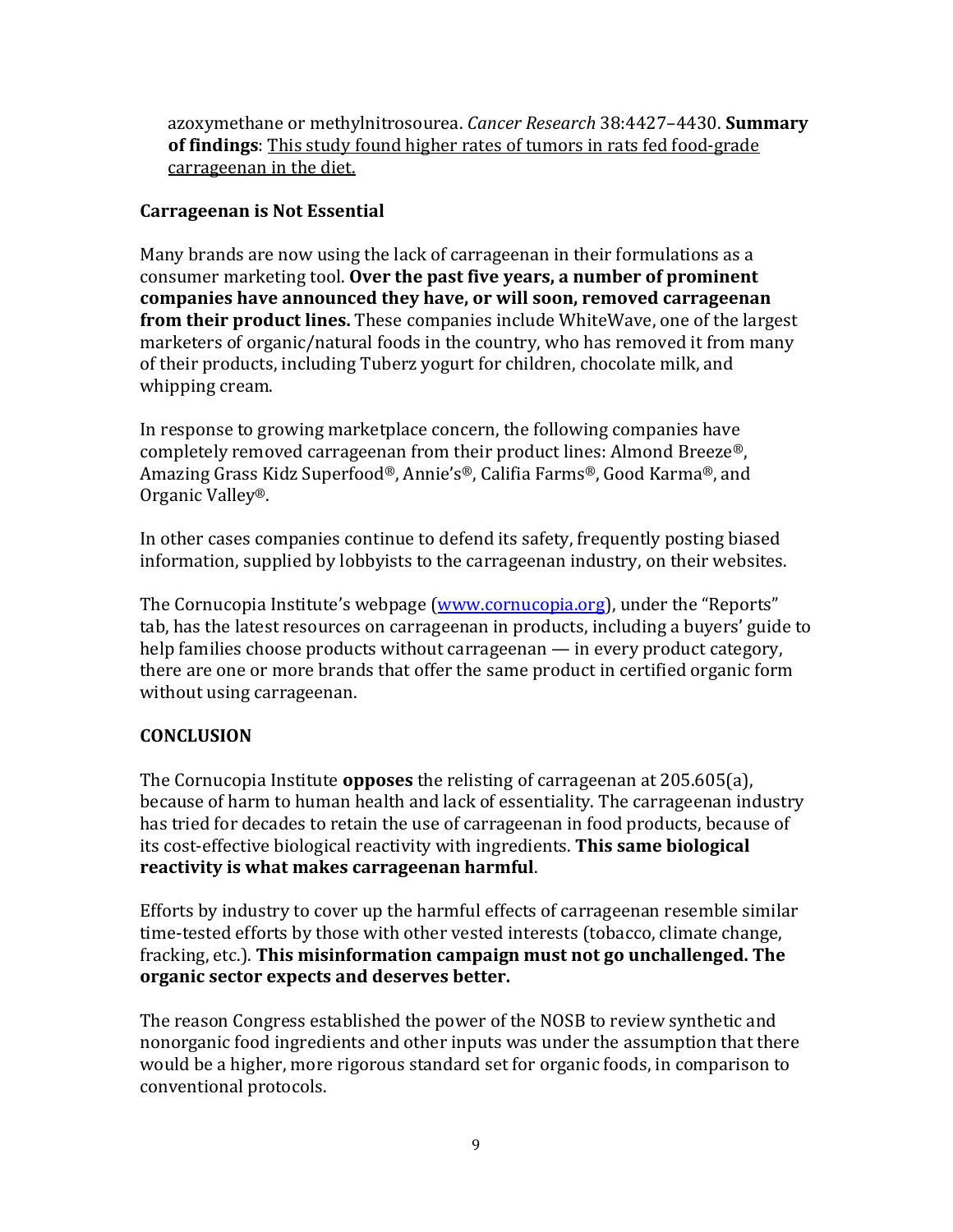azoxymethane or methylnitrosourea. *Cancer Research* 38:4427–4430. **Summary of findings**: This study found higher rates of tumors in rats fed food-grade carrageenan in the diet.

#### **Carrageenan is Not Essential**

Many brands are now using the lack of carrageenan in their formulations as a consumer marketing tool. **Over the past five years, a number of prominent companies have announced they have, or will soon, removed carrageenan from their product lines.** These companies include WhiteWave, one of the largest marketers of organic/natural foods in the country, who has removed it from many of their products, including Tuberz yogurt for children, chocolate milk, and whipping cream.

In response to growing marketplace concern, the following companies have completely removed carrageenan from their product lines: Almond Breeze®, Amazing Grass Kidz Superfood®, Annie's®, Califia Farms®, Good Karma®, and Organic Valley®.

In other cases companies continue to defend its safety, frequently posting biased information, supplied by lobbyists to the carrageenan industry, on their websites.

The Cornucopia Institute's webpage [\(www.cornucopia.org\)](http://www.cornucopia.org/), under the "Reports" tab, has the latest resources on carrageenan in products, including a buyers' guide to help families choose products without carrageenan — in every product category, there are one or more brands that offer the same product in certified organic form without using carrageenan.

### **CONCLUSION**

The Cornucopia Institute **opposes** the relisting of carrageenan at 205.605(a), because of harm to human health and lack of essentiality. The carrageenan industry has tried for decades to retain the use of carrageenan in food products, because of its cost-effective biological reactivity with ingredients. **This same biological reactivity is what makes carrageenan harmful**.

Efforts by industry to cover up the harmful effects of carrageenan resemble similar time-tested efforts by those with other vested interests (tobacco, climate change, fracking, etc.). **This misinformation campaign must not go unchallenged. The organic sector expects and deserves better.**

The reason Congress established the power of the NOSB to review synthetic and nonorganic food ingredients and other inputs was under the assumption that there would be a higher, more rigorous standard set for organic foods, in comparison to conventional protocols.